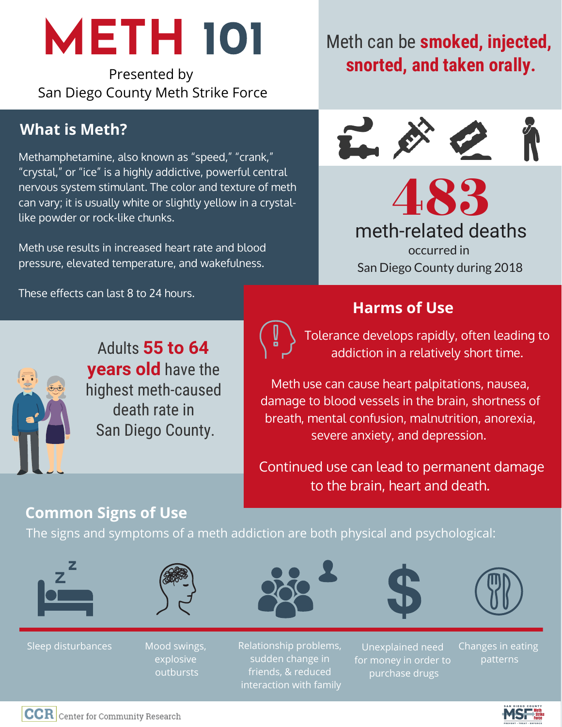# **METH 101**

Presented by San Diego County Meth Strike Force

### **What is Meth?**

Methamphetamine, also known as "speed," "crank," "crystal," or "ice" is a highly addictive, powerful central nervous system stimulant. The color and texture of meth can vary; it is usually white or slightly yellow in a crystallike powder or rock-like chunks.

Meth use results in increased heart rate and blood pressure, elevated temperature, and wakefulness.

These effects can last 8 to 24 hours.

## Meth can be **smoked, injected, snorted, and taken orally.**



483 meth-related deaths occurred in San Diego County during 2018

### **Harms of Use**



Adults **55 to 64 years old** have the highest meth-caused death rate in San Diego County.



Tolerance develops rapidly, often leading to addiction in a relatively short time.

Meth use can cause heart palpitations, nausea, damage to blood vessels in the brain, shortness of breath, mental confusion, malnutrition, anorexia, severe anxiety, and depression.

Continued use can lead to permanent damage to the brain, heart and death.

### **Common Signs of Use**

The signs and symptoms of a meth addiction are both physical and psychological:







Mood swings, explosive outbursts





Unexplained need for money in order to purchase drugs

Changes in eating patterns